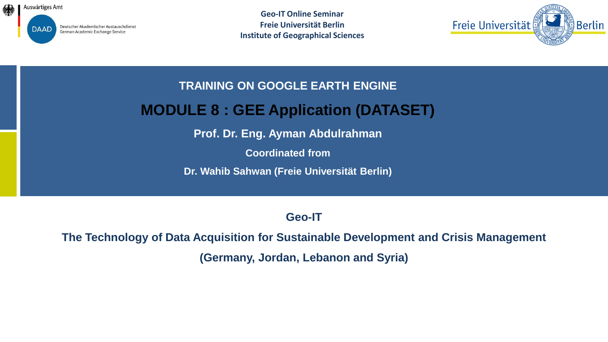

Deutscher Akademischer Austauschdienst German Academic Exchange Service

**Geo-IT Online Seminar Freie Universität Berlin Institute of Geographical Sciences**



**TRAINING ON GOOGLE EARTH ENGINE** 

### **MODULE 8 : GEE Application (DATASET)**

**Prof. Dr. Eng. Ayman Abdulrahman**

**Coordinated from**

**Dr. Wahib Sahwan (Freie Universität Berlin)** 

**Geo-IT**

**The Technology of Data Acquisition for Sustainable Development and Crisis Management (Germany, Jordan, Lebanon and Syria)**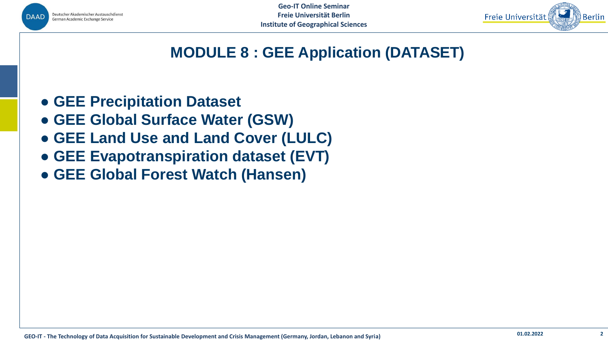



# **MODULE 8 : GEE Application (DATASET)**

- **● GEE Precipitation Dataset**
- **● GEE Global Surface Water (GSW)**
- **● GEE Land Use and Land Cover (LULC)**
- **● GEE Evapotranspiration dataset (EVT)**
- **● GEE Global Forest Watch (Hansen)**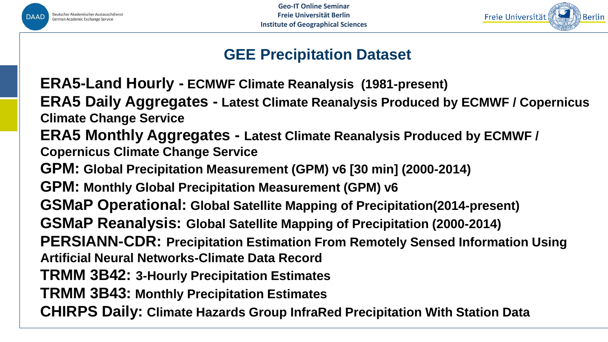

**Geo-IT Online Seminar Freie Universität Berlin Institute of Geographical Sciences**



# **GEE Precipitation Dataset**

**ERA5-Land Hourly - ECMWF Climate Reanalysis (1981-present)**

**ERA5 Daily Aggregates - Latest Climate Reanalysis Produced by ECMWF / Copernicus Climate Change Service**

**ERA5 Monthly Aggregates - Latest Climate Reanalysis Produced by ECMWF / Copernicus Climate Change Service**

**GPM: Global Precipitation Measurement (GPM) v6 [30 min] (2000-2014)**

**GPM: Monthly Global Precipitation Measurement (GPM) v6**

**GSMaP Operational: Global Satellite Mapping of Precipitation(2014-present)**

**GSMaP Reanalysis: Global Satellite Mapping of Precipitation (2000-2014)**

**PERSIANN-CDR: Precipitation Estimation From Remotely Sensed Information Using Artificial Neural Networks-Climate Data Record**

**TRMM 3B42: 3-Hourly Precipitation Estimates**

**TRMM 3B43: Monthly Precipitation Estimates**

**CHIRPS Daily: Climate Hazards Group InfraRed Precipitation With Station Data**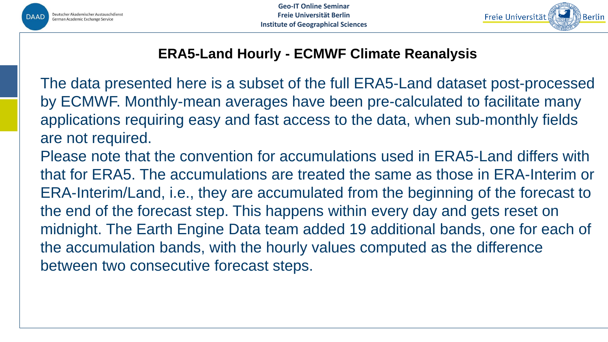



#### **ERA5-Land Hourly - ECMWF Climate Reanalysis**

The data presented here is a subset of the full ERA5-Land dataset post-processed by ECMWF. Monthly-mean averages have been pre-calculated to facilitate many applications requiring easy and fast access to the data, when sub-monthly fields are not required. Please note that the convention for accumulations used in ERA5-Land differs with that for ERA5. The accumulations are treated the same as those in ERA-Interim or ERA-Interim/Land, i.e., they are accumulated from the beginning of the forecast to the end of the forecast step. This happens within every day and gets reset on midnight. The Earth Engine Data team added 19 additional bands, one for each of the accumulation bands, with the hourly values computed as the difference between two consecutive forecast steps.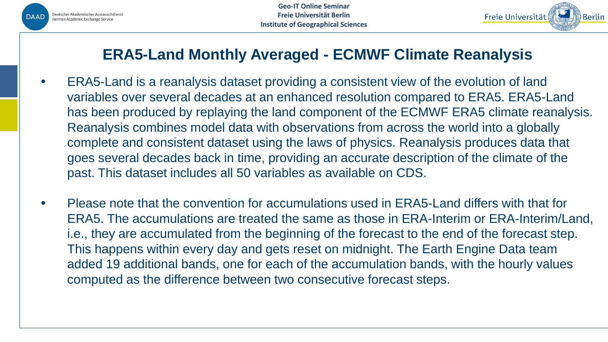



### **ERA5-Land Monthly Averaged - ECMWF Climate Reanalysis**

- ERA5-Land is a reanalysis dataset providing a consistent view of the evolution of land variables over several decades at an enhanced resolution compared to ERA5. ERA5-Land has been produced by replaying the land component of the ECMWF ERA5 climate reanalysis. Reanalysis combines model data with observations from across the world into a globally complete and consistent dataset using the laws of physics. Reanalysis produces data that goes several decades back in time, providing an accurate description of the climate of the past. This dataset includes all 50 variables as available on CDS.
- Please note that the convention for accumulations used in ERA5-Land differs with that for ERA5. The accumulations are treated the same as those in ERA-Interim or ERA-Interim/Land, i.e., they are accumulated from the beginning of the forecast to the end of the forecast step. This happens within every day and gets reset on midnight. The Earth Engine Data team added 19 additional bands, one for each of the accumulation bands, with the hourly values computed as the difference between two consecutive forecast steps.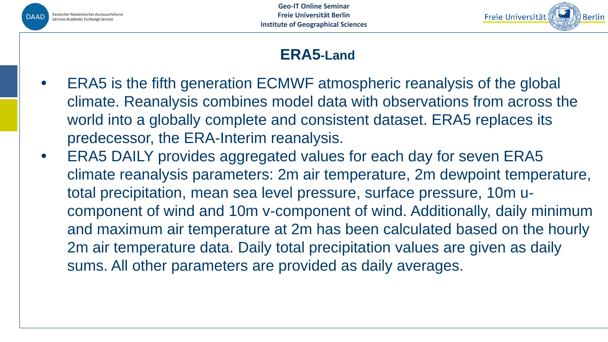



# **ERA5-Land**

- ERA5 is the fifth generation ECMWF atmospheric reanalysis of the global climate. Reanalysis combines model data with observations from across the world into a globally complete and consistent dataset. ERA5 replaces its predecessor, the ERA-Interim reanalysis.
- ERA5 DAILY provides aggregated values for each day for seven ERA5 climate reanalysis parameters: 2m air temperature, 2m dewpoint temperature, total precipitation, mean sea level pressure, surface pressure, 10m ucomponent of wind and 10m v-component of wind. Additionally, daily minimum and maximum air temperature at 2m has been calculated based on the hourly 2m air temperature data. Daily total precipitation values are given as daily sums. All other parameters are provided as daily averages.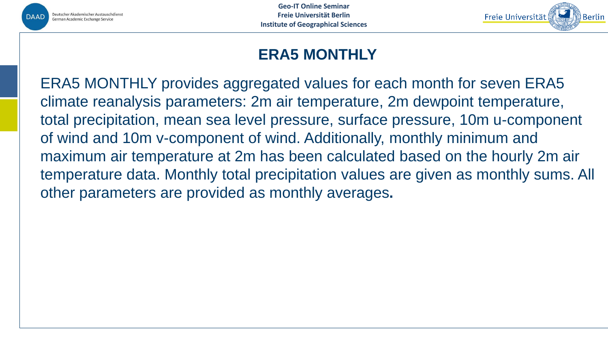



# **ERA5 MONTHLY**

ERA5 MONTHLY provides aggregated values for each month for seven ERA5 climate reanalysis parameters: 2m air temperature, 2m dewpoint temperature, total precipitation, mean sea level pressure, surface pressure, 10m u-component of wind and 10m v-component of wind. Additionally, monthly minimum and maximum air temperature at 2m has been calculated based on the hourly 2m air temperature data. Monthly total precipitation values are given as monthly sums. All other parameters are provided as monthly averages**.**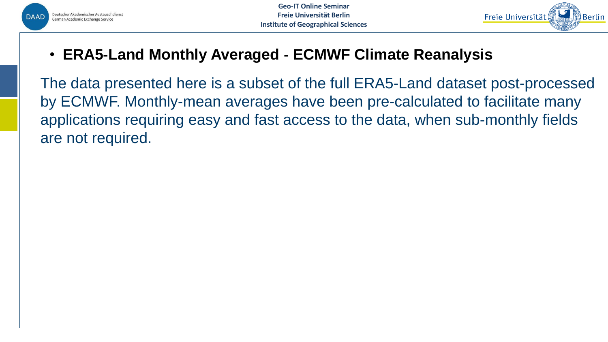



• **ERA5-Land Monthly Averaged - ECMWF Climate Reanalysis**

The data presented here is a subset of the full ERA5-Land dataset post-processed by ECMWF. Monthly-mean averages have been pre-calculated to facilitate many applications requiring easy and fast access to the data, when sub-monthly fields are not required.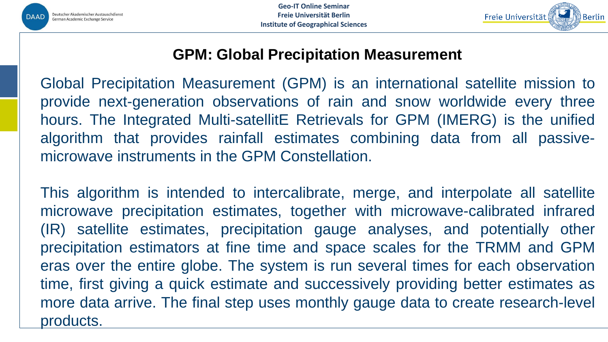



### **GPM: Global Precipitation Measurement**

Global Precipitation Measurement (GPM) is an international satellite mission to provide next-generation observations of rain and snow worldwide every three hours. The Integrated Multi-satellitE Retrievals for GPM (IMERG) is the unified algorithm that provides rainfall estimates combining data from all passivemicrowave instruments in the GPM Constellation.

This algorithm is intended to intercalibrate, merge, and interpolate all satellite microwave precipitation estimates, together with microwave-calibrated infrared (IR) satellite estimates, precipitation gauge analyses, and potentially other precipitation estimators at fine time and space scales for the TRMM and GPM eras over the entire globe. The system is run several times for each observation time, first giving a quick estimate and successively providing better estimates as more data arrive. The final step uses monthly gauge data to create research-level products.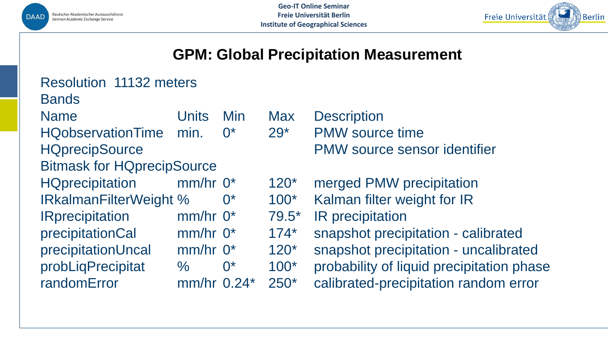



#### **GPM: Global Precipitation Measurement**

| <b>Resolution 11132 meters</b>    |            |                    |            |                       |  |  |
|-----------------------------------|------------|--------------------|------------|-----------------------|--|--|
| <b>Bands</b>                      |            |                    |            |                       |  |  |
| <b>Name</b>                       | Units      | Min                | <b>Max</b> | <b>Description</b>    |  |  |
| <b>HQobservationTime</b>          | min.       | $\Omega^*$         | $29*$      | <b>PMW</b> source tir |  |  |
| <b>HQprecipSource</b>             |            |                    |            | <b>PMW source so</b>  |  |  |
| <b>Bitmask for HQprecipSource</b> |            |                    |            |                       |  |  |
| <b>HQprecipitation</b>            | $mm/hr$ 0* |                    | $120*$     | merged PMW p          |  |  |
| <b>IRkalmanFilterWeight %</b>     |            | $\mathsf{O}^\star$ | $100*$     | Kalman filter w       |  |  |
| <b>IRprecipitation</b>            | $mm/hr$ 0* |                    | $79.5*$    | IR precipitation      |  |  |
| precipitationCal                  | $mm/hr$ 0* |                    | $174*$     | snapshot precip       |  |  |
| precipitationUncal                | $mm/hr$ 0* |                    | $120*$     | snapshot preci        |  |  |
| probLiqPrecipitat                 | $\%$       | $0^*$              | $100*$     | probability of lic    |  |  |
| randomError                       | mm/hr      | $0.24*$            | $250*$     | calibrated-prec       |  |  |
|                                   |            |                    |            |                       |  |  |

**Irce time** Irce sensor identifier

'MW precipitation Iter weight for IR precipitation - calibrated precipitation - uncalibrated y of liquid precipitation phase **I-precipitation random error**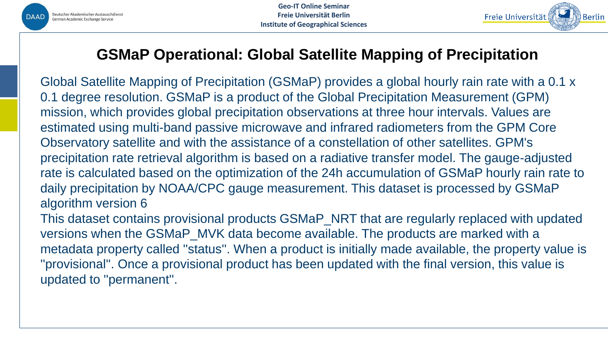



# **GSMaP Operational: Global Satellite Mapping of Precipitation**

Global Satellite Mapping of Precipitation (GSMaP) provides a global hourly rain rate with a 0.1 x 0.1 degree resolution. GSMaP is a product of the Global Precipitation Measurement (GPM) mission, which provides global precipitation observations at three hour intervals. Values are estimated using multi-band passive microwave and infrared radiometers from the GPM Core Observatory satellite and with the assistance of a constellation of other satellites. GPM's precipitation rate retrieval algorithm is based on a radiative transfer model. The gauge-adjusted rate is calculated based on the optimization of the 24h accumulation of GSMaP hourly rain rate to daily precipitation by NOAA/CPC gauge measurement. This dataset is processed by GSMaP algorithm version 6 This dataset contains provisional products GSMaP\_NRT that are regularly replaced with updated versions when the GSMaP\_MVK data become available. The products are marked with a metadata property called ''status''. When a product is initially made available, the property value is

''provisional''. Once a provisional product has been updated with the final version, this value is updated to ''permanent''.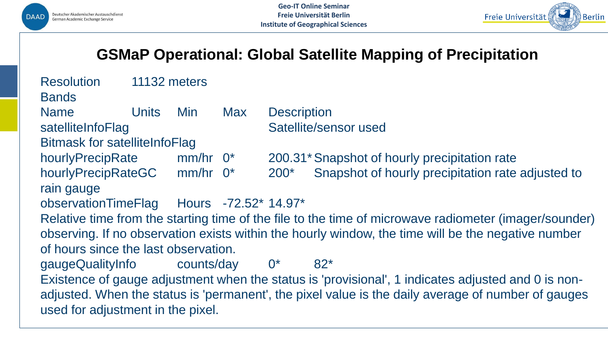



# **GSMaP Operational: Global Satellite Mapping of Precipitation**

| <b>Resolution</b>                                                                                                                                                                                                                             | 11132 meters |                        |                      |                       |                                                   |  |  |
|-----------------------------------------------------------------------------------------------------------------------------------------------------------------------------------------------------------------------------------------------|--------------|------------------------|----------------------|-----------------------|---------------------------------------------------|--|--|
| <b>Bands</b>                                                                                                                                                                                                                                  |              |                        |                      |                       |                                                   |  |  |
| <b>Name</b>                                                                                                                                                                                                                                   | <b>Units</b> | Min.                   | <b>Max</b>           | <b>Description</b>    |                                                   |  |  |
| satelliteInfoFlag                                                                                                                                                                                                                             |              |                        |                      | Satellite/sensor used |                                                   |  |  |
| <b>Bitmask for satelliteInfoFlag</b>                                                                                                                                                                                                          |              |                        |                      |                       |                                                   |  |  |
| hourlyPrecipRate                                                                                                                                                                                                                              |              | $mm/hr$ 0 <sup>*</sup> |                      |                       | 200.31* Snapshot of hourly precipitation rate     |  |  |
| hourlyPrecipRateGC                                                                                                                                                                                                                            |              | $mm/hr$ $0*$           |                      | $200*$                | Snapshot of hourly precipitation rate adjusted to |  |  |
| rain gauge                                                                                                                                                                                                                                    |              |                        |                      |                       |                                                   |  |  |
| observationTimeFlag                                                                                                                                                                                                                           |              |                        | Hours -72.52* 14.97* |                       |                                                   |  |  |
| Relative time from the starting time of the file to the time of microwave radiometer (imager/sounder)                                                                                                                                         |              |                        |                      |                       |                                                   |  |  |
| observing. If no observation exists within the hourly window, the time will be the negative number                                                                                                                                            |              |                        |                      |                       |                                                   |  |  |
| of hours since the last observation.                                                                                                                                                                                                          |              |                        |                      |                       |                                                   |  |  |
| gaugeQualityInfo                                                                                                                                                                                                                              |              | counts/day             |                      | $0^*$                 | $82*$                                             |  |  |
| Existence of gauge adjustment when the status is 'provisional', 1 indicates adjusted and 0 is non-<br>adjusted. When the status is 'permanent', the pixel value is the daily average of number of gauges<br>used for adjustment in the pixel. |              |                        |                      |                       |                                                   |  |  |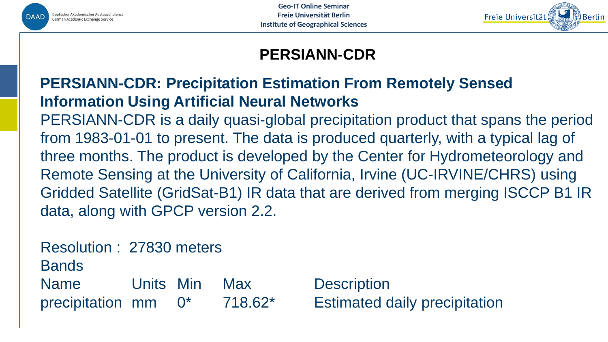



# **PERSIANN-CDR**

# **PERSIANN-CDR: Precipitation Estimation From Remotely Sensed Information Using Artificial Neural Networks**

PERSIANN-CDR is a daily quasi-global precipitation product that spans the period from 1983-01-01 to present. The data is produced quarterly, with a typical lag of three months. The product is developed by the Center for Hydrometeorology and Remote Sensing at the University of California, Irvine (UC-IRVINE/CHRS) using Gridded Satellite (GridSat-B1) IR data that are derived from merging ISCCP B1 IR data, along with GPCP version 2.2.

Resolution : 27830 meters

**Bands** 

Name Units Min Max Description precipitation mm 0\* 718.62\* Estimated daily precipitation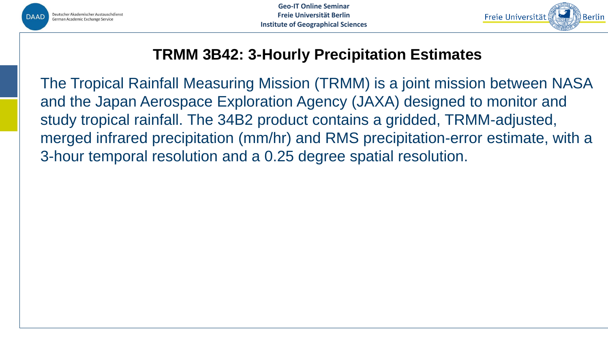



# **TRMM 3B42: 3-Hourly Precipitation Estimates**

The Tropical Rainfall Measuring Mission (TRMM) is a joint mission between NASA and the Japan Aerospace Exploration Agency (JAXA) designed to monitor and study tropical rainfall. The 34B2 product contains a gridded, TRMM-adjusted, merged infrared precipitation (mm/hr) and RMS precipitation-error estimate, with a 3-hour temporal resolution and a 0.25 degree spatial resolution.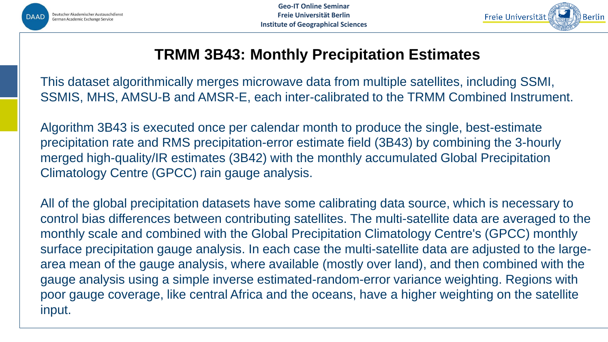



### **TRMM 3B43: Monthly Precipitation Estimates**

This dataset algorithmically merges microwave data from multiple satellites, including SSMI, SSMIS, MHS, AMSU-B and AMSR-E, each inter-calibrated to the TRMM Combined Instrument.

Algorithm 3B43 is executed once per calendar month to produce the single, best-estimate precipitation rate and RMS precipitation-error estimate field (3B43) by combining the 3-hourly merged high-quality/IR estimates (3B42) with the monthly accumulated Global Precipitation Climatology Centre (GPCC) rain gauge analysis.

All of the global precipitation datasets have some calibrating data source, which is necessary to control bias differences between contributing satellites. The multi-satellite data are averaged to the monthly scale and combined with the Global Precipitation Climatology Centre's (GPCC) monthly surface precipitation gauge analysis. In each case the multi-satellite data are adjusted to the largearea mean of the gauge analysis, where available (mostly over land), and then combined with the gauge analysis using a simple inverse estimated-random-error variance weighting. Regions with poor gauge coverage, like central Africa and the oceans, have a higher weighting on the satellite input.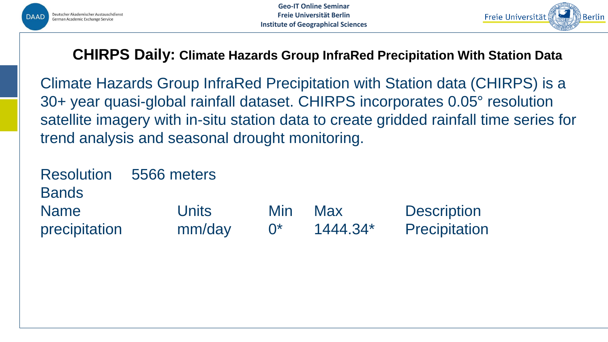



#### **CHIRPS Daily: Climate Hazards Group InfraRed Precipitation With Station Data**

Climate Hazards Group InfraRed Precipitation with Station data (CHIRPS) is a 30+ year quasi-global rainfall dataset. CHIRPS incorporates 0.05° resolution satellite imagery with in-situ station data to create gridded rainfall time series for trend analysis and seasonal drought monitoring.

Resolution 5566 meters Bands Name **Units** Min Max Description precipitation mm/day 0\* 1444.34\* Precipitation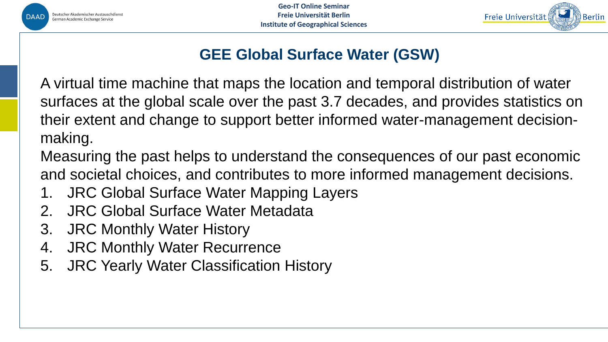

**Geo-IT Online Seminar Freie Universität Berlin Institute of Geographical Sciences**



# **GEE Global Surface Water (GSW)**

A virtual time machine that maps the location and temporal distribution of water surfaces at the global scale over the past 3.7 decades, and provides statistics on their extent and change to support better informed water-management decisionmaking.

Measuring the past helps to understand the consequences of our past economic and societal choices, and contributes to more informed management decisions.

- 1. JRC Global Surface Water Mapping Layers
- 2. JRC Global Surface Water Metadata
- 3. JRC Monthly Water History
- 4. JRC Monthly Water Recurrence
- 5. JRC Yearly Water Classification History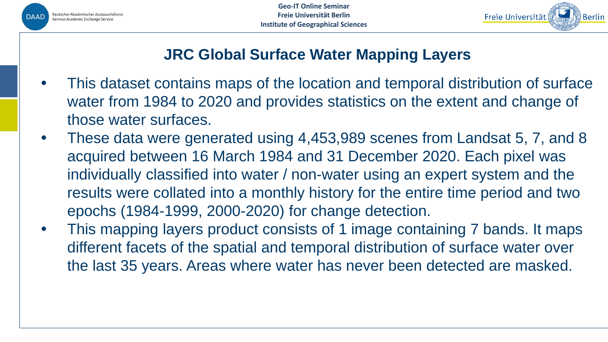



# **JRC Global Surface Water Mapping Layers**

- This dataset contains maps of the location and temporal distribution of surface water from 1984 to 2020 and provides statistics on the extent and change of those water surfaces.
- These data were generated using 4,453,989 scenes from Landsat 5, 7, and 8 acquired between 16 March 1984 and 31 December 2020. Each pixel was individually classified into water / non-water using an expert system and the results were collated into a monthly history for the entire time period and two epochs (1984-1999, 2000-2020) for change detection.
- This mapping layers product consists of 1 image containing 7 bands. It maps different facets of the spatial and temporal distribution of surface water over the last 35 years. Areas where water has never been detected are masked.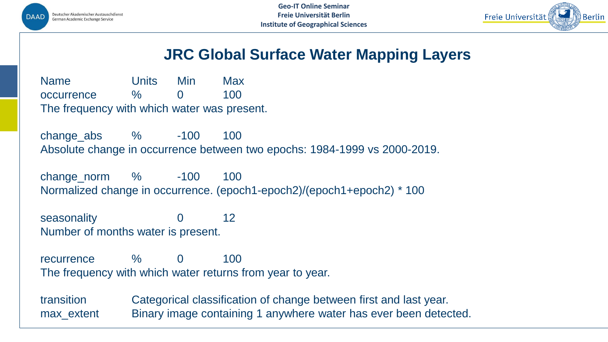



### **JRC Global Surface Water Mapping Layers**

Name Units Min Max occurrence % 0 100 The frequency with which water was present.

change\_abs % -100 100 Absolute change in occurrence between two epochs: 1984-1999 vs 2000-2019.

change\_norm % -100 100 Normalized change in occurrence. (epoch1-epoch2)/(epoch1+epoch2) \* 100

seasonality 0 12 Number of months water is present.

recurrence % 0 100 The frequency with which water returns from year to year.

transition Categorical classification of change between first and last year. max\_extent Binary image containing 1 anywhere water has ever been detected.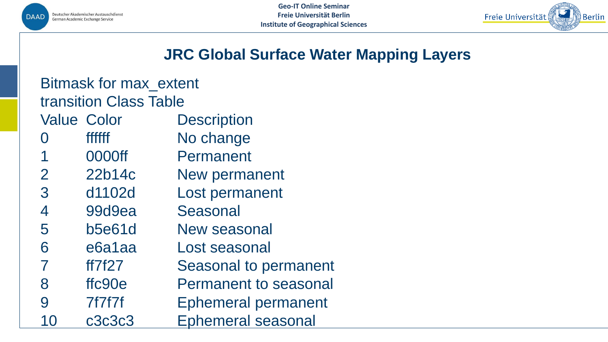



### **JRC Global Surface Water Mapping Layers**

| <b>Bitmask for max extent</b> |               |                              |  |  |  |
|-------------------------------|---------------|------------------------------|--|--|--|
| <b>transition Class Table</b> |               |                              |  |  |  |
| <b>Value Color</b>            |               | <b>Description</b>           |  |  |  |
|                               | <b>ffffff</b> | No change                    |  |  |  |
|                               | 0000ff        | Permanent                    |  |  |  |
| 2                             | 22b14c        | <b>New permanent</b>         |  |  |  |
| 3                             | d1102d        | Lost permanent               |  |  |  |
| 4                             | 99d9ea        | <b>Seasonal</b>              |  |  |  |
| 5                             | <b>b5e61d</b> | New seasonal                 |  |  |  |
| 6                             | e6a1aa        | Lost seasonal                |  |  |  |
| 7                             | ff7f27        | <b>Seasonal to permanent</b> |  |  |  |
| 8                             | ffc90e        | <b>Permanent to seasonal</b> |  |  |  |
| 9                             | 7f7f7f        | <b>Ephemeral permanent</b>   |  |  |  |
|                               | c3c3c3        | <b>Ephemeral seasonal</b>    |  |  |  |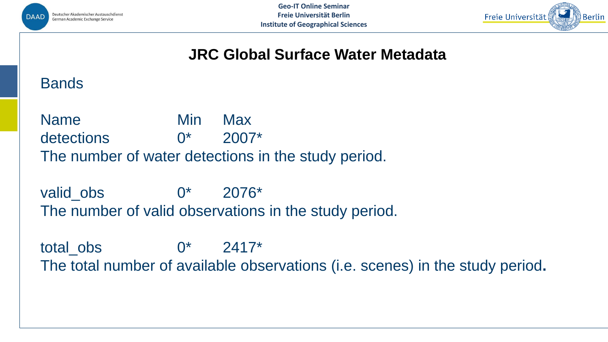



#### **JRC Global Surface Water Metadata**

#### **Bands**

Name Min Max detections  $0^*$  2007<sup>\*</sup> The number of water detections in the study period.

valid obs  $0^*$  2076<sup>\*</sup> The number of valid observations in the study period.

total obs  $0^*$  2417\* The total number of available observations (i.e. scenes) in the study period**.**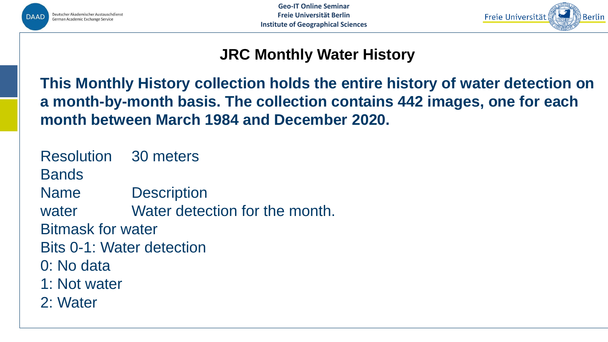



# **JRC Monthly Water History**

**This Monthly History collection holds the entire history of water detection on a month-by-month basis. The collection contains 442 images, one for each month between March 1984 and December 2020.**

- Resolution 30 meters
- Bands
- Name Description
- water **Water detection for the month.**
- Bitmask for water
- Bits 0-1: Water detection
- 0: No data
- 1: Not water
- 2: Water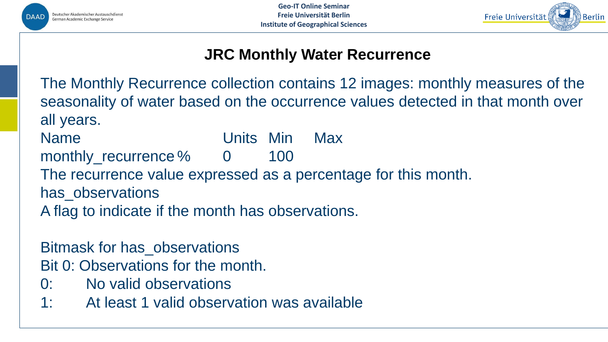



## **JRC Monthly Water Recurrence**

The Monthly Recurrence collection contains 12 images: monthly measures of the seasonality of water based on the occurrence values detected in that month over all years.

Name Units Min Max monthly\_recurrence % 0 100 The recurrence value expressed as a percentage for this month. has observations A flag to indicate if the month has observations.

Bitmask for has\_observations

Bit 0: Observations for the month.

- 0: No valid observations
- 1: At least 1 valid observation was available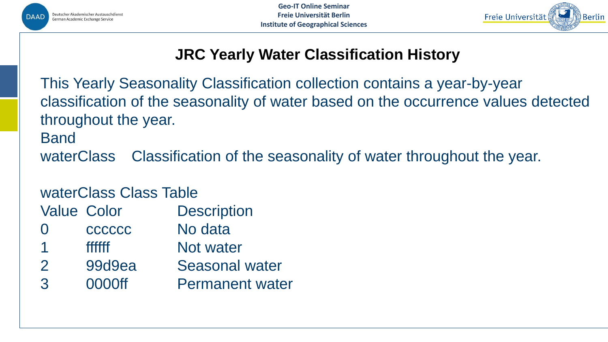



# **JRC Yearly Water Classification History**

This Yearly Seasonality Classification collection contains a year-by-year classification of the seasonality of water based on the occurrence values detected throughout the year.

Band

waterClass Classification of the seasonality of water throughout the year.

## waterClass Class Table

Value Color Description

- 0 ccccccc No data
- ffffff Not water
- 2 99d9ea Seasonal water
- 3 0000ff Permanent water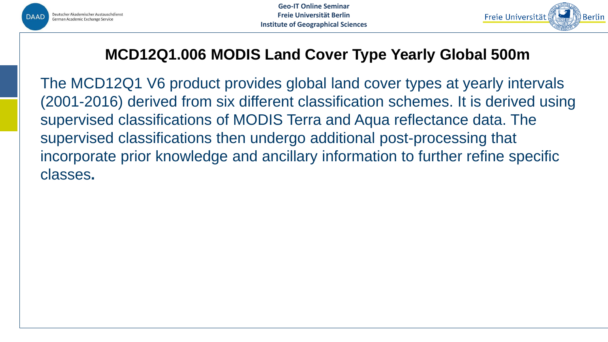



# **MCD12Q1.006 MODIS Land Cover Type Yearly Global 500m**

The MCD12Q1 V6 product provides global land cover types at yearly intervals (2001-2016) derived from six different classification schemes. It is derived using supervised classifications of MODIS Terra and Aqua reflectance data. The supervised classifications then undergo additional post-processing that incorporate prior knowledge and ancillary information to further refine specific classes**.**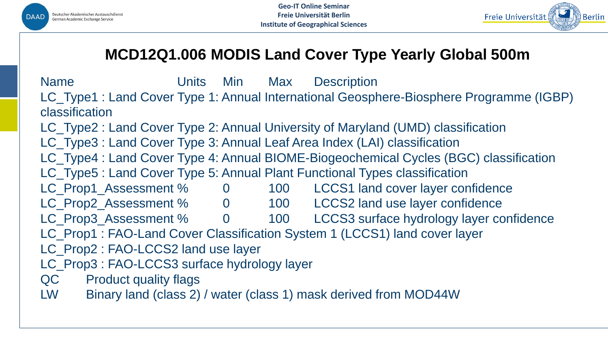



# **MCD12Q1.006 MODIS Land Cover Type Yearly Global 500m**

Name **Units** Min Max Description LC\_Type1 : Land Cover Type 1: Annual International Geosphere-Biosphere Programme (IGBP) classification LC\_Type2 : Land Cover Type 2: Annual University of Maryland (UMD) classification LC\_Type3 : Land Cover Type 3: Annual Leaf Area Index (LAI) classification LC\_Type4 : Land Cover Type 4: Annual BIOME-Biogeochemical Cycles (BGC) classification LC\_Type5 : Land Cover Type 5: Annual Plant Functional Types classification LC\_Prop1\_Assessment % 0 100 LCCS1 land cover layer confidence LC\_Prop2\_Assessment % 0 100 LCCS2 land use layer confidence LC\_Prop3\_Assessment % 0 100 LCCS3 surface hydrology layer confidence LC\_Prop1 : FAO-Land Cover Classification System 1 (LCCS1) land cover layer LC\_Prop2 : FAO-LCCS2 land use layer LC\_Prop3 : FAO-LCCS3 surface hydrology layer QC Product quality flags LW Binary land (class 2) / water (class 1) mask derived from MOD44W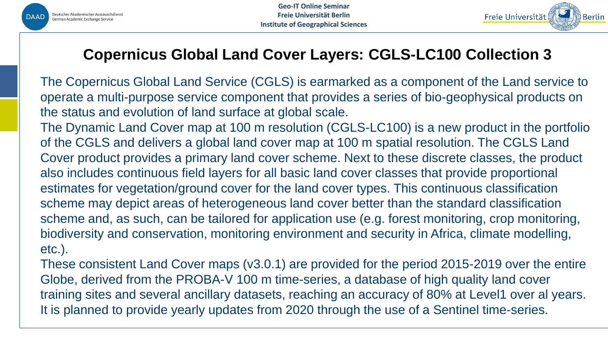



# **Copernicus Global Land Cover Layers: CGLS-LC100 Collection 3**

The Copernicus Global Land Service (CGLS) is earmarked as a component of the Land service to operate a multi-purpose service component that provides a series of bio-geophysical products on the status and evolution of land surface at global scale.

The Dynamic Land Cover map at 100 m resolution (CGLS-LC100) is a new product in the portfolio of the CGLS and delivers a global land cover map at 100 m spatial resolution. The CGLS Land Cover product provides a primary land cover scheme. Next to these discrete classes, the product also includes continuous field layers for all basic land cover classes that provide proportional estimates for vegetation/ground cover for the land cover types. This continuous classification scheme may depict areas of heterogeneous land cover better than the standard classification scheme and, as such, can be tailored for application use (e.g. forest monitoring, crop monitoring, biodiversity and conservation, monitoring environment and security in Africa, climate modelling, etc.).

These consistent Land Cover maps (v3.0.1) are provided for the period 2015-2019 over the entire Globe, derived from the PROBA-V 100 m time-series, a database of high quality land cover training sites and several ancillary datasets, reaching an accuracy of 80% at Level1 over al years. It is planned to provide yearly updates from 2020 through the use of a Sentinel time-series.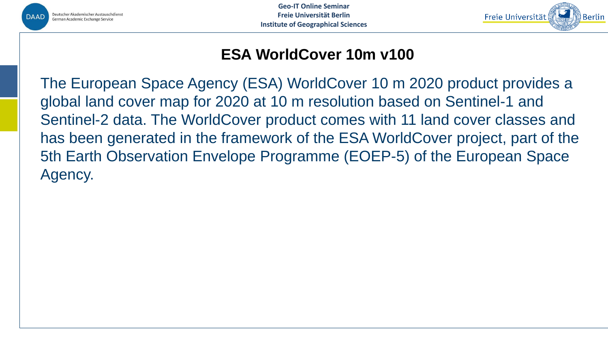

**Geo-IT Online Seminar Freie Universität Berlin Institute of Geographical Sciences**



### **ESA WorldCover 10m v100**

The European Space Agency (ESA) WorldCover 10 m 2020 product provides a global land cover map for 2020 at 10 m resolution based on Sentinel-1 and Sentinel-2 data. The WorldCover product comes with 11 land cover classes and has been generated in the framework of the ESA WorldCover project, part of the 5th Earth Observation Envelope Programme (EOEP-5) of the European Space Agency.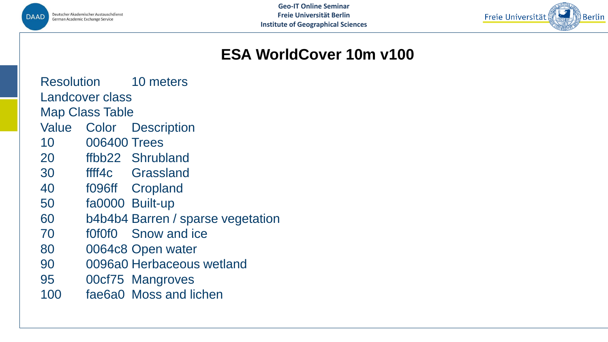



# **ESA WorldCover 10m v100**

Resolution 10 meters Landcover class Map Class Table Value Color Description 10 006400 Trees 20 ffbb22 Shrubland 30 ffff4c Grassland 40 f096ff Cropland 50 fa0000 Built-up 60 b4b4b4 Barren / sparse vegetation

- 70 f0f0f0 Snow and ice
- 80 0064c8 Open water
- 90 0096a0 Herbaceous wetland
- 95 00cf75 Mangroves
- 100 fae6a0 Moss and lichen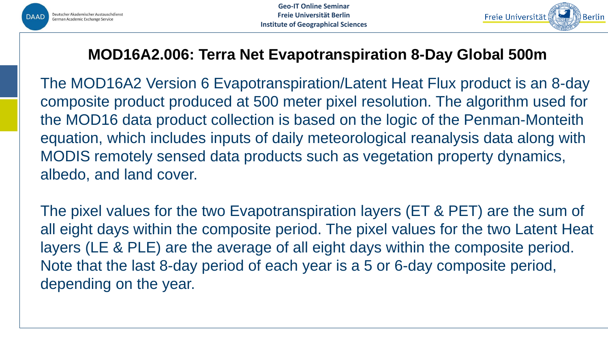



# **MOD16A2.006: Terra Net Evapotranspiration 8-Day Global 500m**

The MOD16A2 Version 6 Evapotranspiration/Latent Heat Flux product is an 8-day composite product produced at 500 meter pixel resolution. The algorithm used for the MOD16 data product collection is based on the logic of the Penman-Monteith equation, which includes inputs of daily meteorological reanalysis data along with MODIS remotely sensed data products such as vegetation property dynamics, albedo, and land cover.

The pixel values for the two Evapotranspiration layers (ET & PET) are the sum of all eight days within the composite period. The pixel values for the two Latent Heat layers (LE & PLE) are the average of all eight days within the composite period. Note that the last 8-day period of each year is a 5 or 6-day composite period, depending on the year.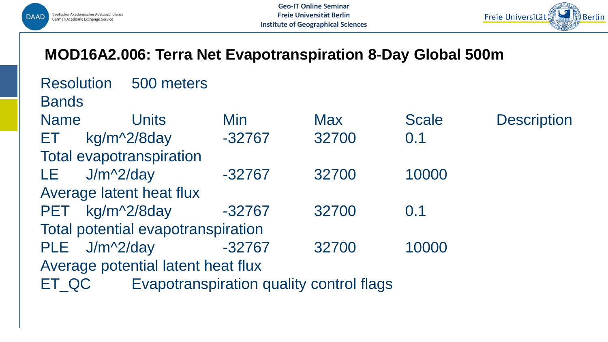

Resolution 500 meters



#### **MOD16A2.006: Terra Net Evapotranspiration 8-Day Global 500m**

| <b>INGOVIUMU</b> II<br><b>UUU IIIUUU</b> |                                    |            |                                          |              |                    |  |  |  |
|------------------------------------------|------------------------------------|------------|------------------------------------------|--------------|--------------------|--|--|--|
| <b>Bands</b>                             |                                    |            |                                          |              |                    |  |  |  |
| <b>Name</b>                              | Units                              | <b>Min</b> | <b>Max</b>                               | <b>Scale</b> | <b>Description</b> |  |  |  |
| ET I                                     | kg/m <sup>^2</sup> /8day           | $-32767$   | 32700                                    | 0.1          |                    |  |  |  |
| <b>Total evapotranspiration</b>          |                                    |            |                                          |              |                    |  |  |  |
| LE 11                                    | $J/m^2/day$                        | $-32767$   | 32700                                    | 10000        |                    |  |  |  |
| Average latent heat flux                 |                                    |            |                                          |              |                    |  |  |  |
| <b>PET</b>                               | kg/m^2/8day                        | $-32767$   | 32700                                    | 0.1          |                    |  |  |  |
| Total potential evapotranspiration       |                                    |            |                                          |              |                    |  |  |  |
| PLE J/m^2/day                            |                                    | $-32767$   | 32700                                    | 10000        |                    |  |  |  |
|                                          | Average potential latent heat flux |            |                                          |              |                    |  |  |  |
| ET QC                                    |                                    |            | Evapotranspiration quality control flags |              |                    |  |  |  |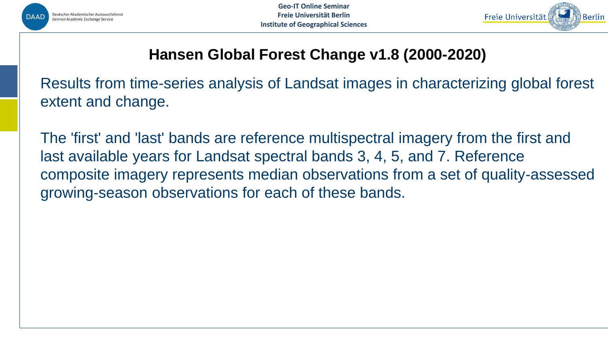



# **Hansen Global Forest Change v1.8 (2000-2020)**

Results from time-series analysis of Landsat images in characterizing global forest extent and change.

The 'first' and 'last' bands are reference multispectral imagery from the first and last available years for Landsat spectral bands 3, 4, 5, and 7. Reference composite imagery represents median observations from a set of quality-assessed growing-season observations for each of these bands.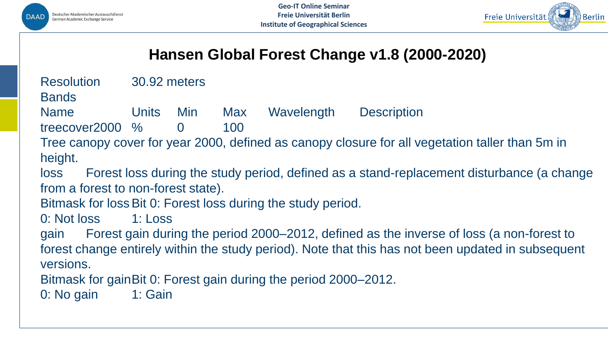



# **Hansen Global Forest Change v1.8 (2000-2020)**

Resolution 30.92 meters

**Bands** 

Name Units Min Max Wavelength Description

treecover2000 % 0 100

Tree canopy cover for year 2000, defined as canopy closure for all vegetation taller than 5m in height.

loss Forest loss during the study period, defined as a stand-replacement disturbance (a change from a forest to non-forest state).

Bitmask for loss Bit 0: Forest loss during the study period.

0: Not loss 1: Loss

gain Forest gain during the period 2000–2012, defined as the inverse of loss (a non-forest to forest change entirely within the study period). Note that this has not been updated in subsequent versions.

Bitmask for gainBit 0: Forest gain during the period 2000–2012.

0: No gain 1: Gain